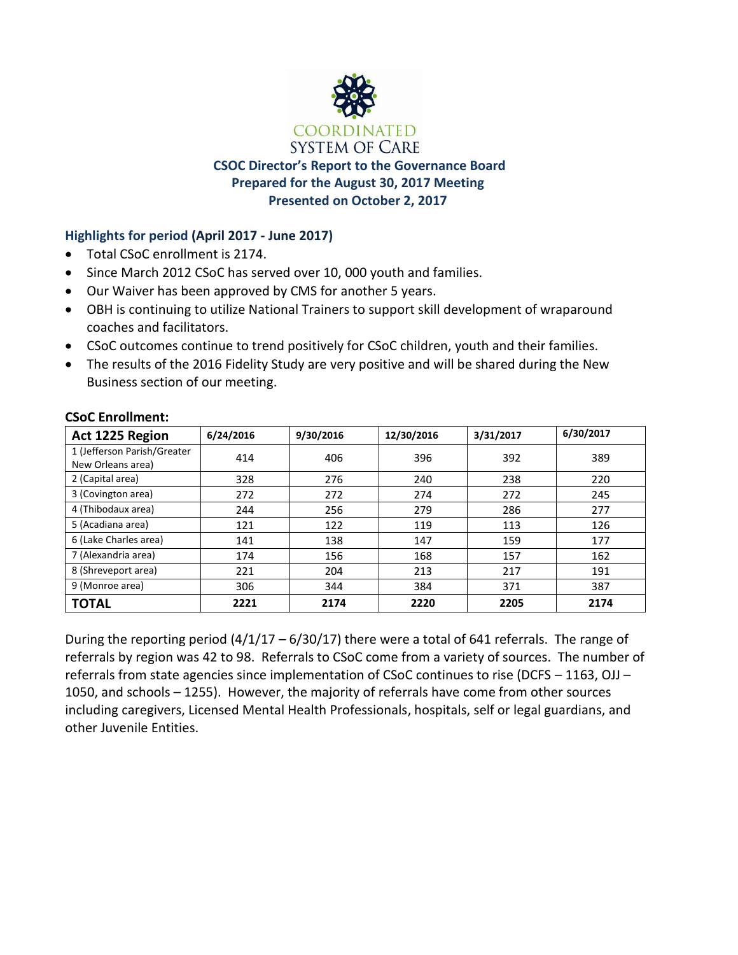

# **CSOC Director's Report to the Governance Board Prepared for the August 30, 2017 Meeting Presented on October 2, 2017**

# **Highlights for period (April 2017 - June 2017)**

- Total CSoC enrollment is 2174.
- Since March 2012 CSoC has served over 10, 000 youth and families.
- Our Waiver has been approved by CMS for another 5 years.
- OBH is continuing to utilize National Trainers to support skill development of wraparound coaches and facilitators.
- CSoC outcomes continue to trend positively for CSoC children, youth and their families.
- The results of the 2016 Fidelity Study are very positive and will be shared during the New Business section of our meeting.

| Act 1225 Region             | 6/24/2016 | 9/30/2016 | 12/30/2016 | 3/31/2017 | 6/30/2017 |
|-----------------------------|-----------|-----------|------------|-----------|-----------|
| 1 (Jefferson Parish/Greater | 414       | 406       | 396        | 392       | 389       |
| New Orleans area)           |           |           |            |           |           |
| 2 (Capital area)            | 328       | 276       | 240        | 238       | 220       |
| 3 (Covington area)          | 272       | 272       | 274        | 272       | 245       |
| 4 (Thibodaux area)          | 244       | 256       | 279        | 286       | 277       |
| 5 (Acadiana area)           | 121       | 122       | 119        | 113       | 126       |
| 6 (Lake Charles area)       | 141       | 138       | 147        | 159       | 177       |
| 7 (Alexandria area)         | 174       | 156       | 168        | 157       | 162       |
| 8 (Shreveport area)         | 221       | 204       | 213        | 217       | 191       |
| 9 (Monroe area)             | 306       | 344       | 384        | 371       | 387       |
| <b>TOTAL</b>                | 2221      | 2174      | 2220       | 2205      | 2174      |

## **CSoC Enrollment:**

During the reporting period  $(4/1/17 - 6/30/17)$  there were a total of 641 referrals. The range of referrals by region was 42 to 98. Referrals to CSoC come from a variety of sources. The number of referrals from state agencies since implementation of CSoC continues to rise (DCFS – 1163, OJJ – 1050, and schools – 1255). However, the majority of referrals have come from other sources including caregivers, Licensed Mental Health Professionals, hospitals, self or legal guardians, and other Juvenile Entities.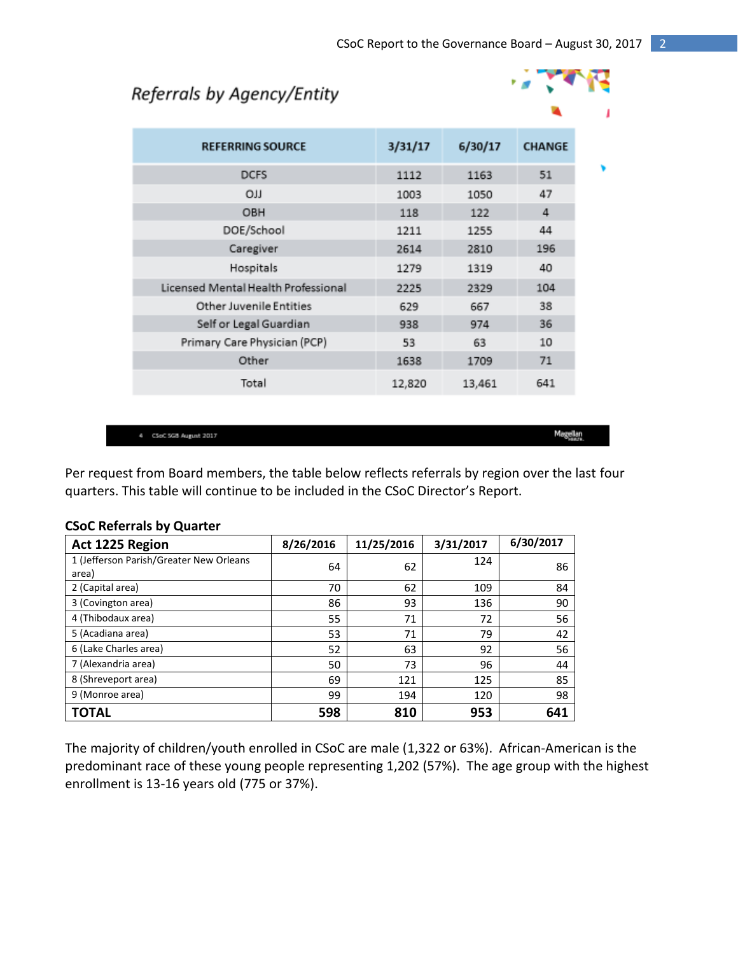# Referrals by Agency/Entity



| <b>REFERRING SOURCE</b>             | 3/31/17 | 6/30/17 | <b>CHANGE</b> |
|-------------------------------------|---------|---------|---------------|
| <b>DCFS</b>                         | 1112    | 1163    | 51            |
| LLO                                 | 1003    | 1050    | 47            |
| OBH                                 | 118     | 122     | 4             |
| DOE/School                          | 1211    | 1255    | 44            |
| Caregiver                           | 2614    | 2810    | 196           |
| Hospitals                           | 1279    | 1319    | 40            |
| Licensed Mental Health Professional | 2225    | 2329    | 104           |
| Other Juvenile Entities             | 629     | 667     | 38            |
| Self or Legal Guardian              | 938     | 974     | 36            |
| Primary Care Physician (PCP)        | 53      | 63      | 10            |
| Other                               | 1638    | 1709    | 71            |
| Total                               | 12,820  | 13,461  | 641           |

4 CSoC 5GB August 2017

Per request from Board members, the table below reflects referrals by region over the last four quarters. This table will continue to be included in the CSoC Director's Report.

| Act 1225 Region                                  | 8/26/2016 | 11/25/2016 | 3/31/2017 | 6/30/2017 |
|--------------------------------------------------|-----------|------------|-----------|-----------|
| 1 (Jefferson Parish/Greater New Orleans<br>area) | 64        | 62         | 124       | 86        |
| 2 (Capital area)                                 | 70        | 62         | 109       | 84        |
| 3 (Covington area)                               | 86        | 93         | 136       | 90        |
| 4 (Thibodaux area)                               | 55        | 71         | 72        | 56        |
| 5 (Acadiana area)                                | 53        | 71         | 79        | 42        |
| 6 (Lake Charles area)                            | 52        | 63         | 92        | 56        |
| 7 (Alexandria area)                              | 50        | 73         | 96        | 44        |
| 8 (Shreveport area)                              | 69        | 121        | 125       | 85        |
| 9 (Monroe area)                                  | 99        | 194        | 120       | 98        |
| ΤΟΤΑL                                            | 598       | 810        | 953       | 641       |

#### **CSoC Referrals by Quarter**

The majority of children/youth enrolled in CSoC are male (1,322 or 63%). African-American is the predominant race of these young people representing 1,202 (57%). The age group with the highest enrollment is 13-16 years old (775 or 37%).

Magellan<br>Histori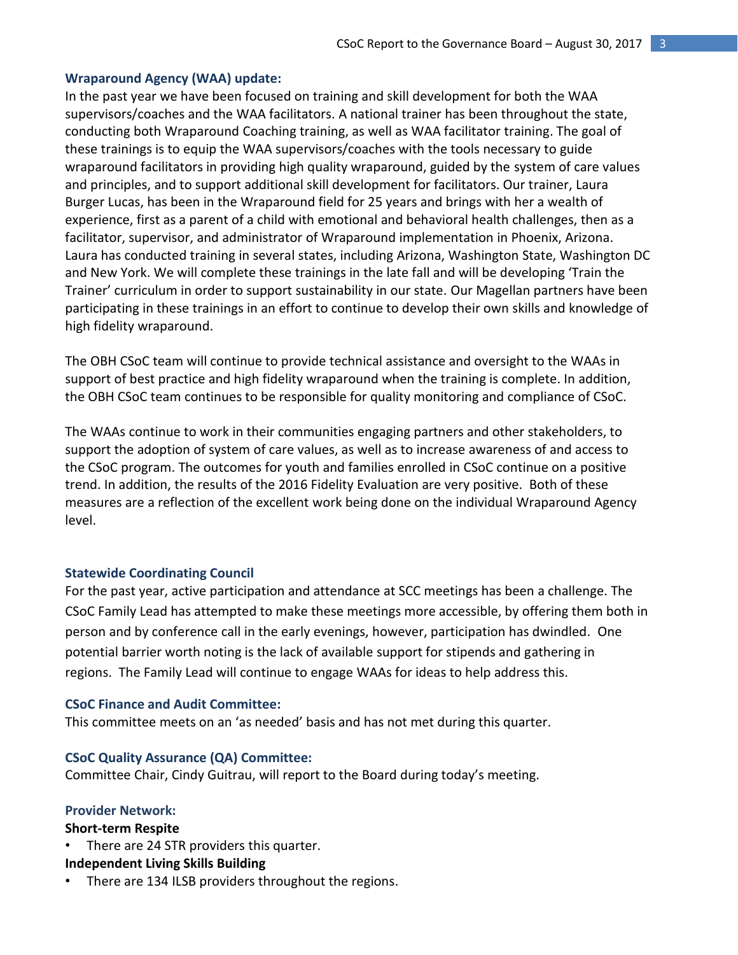#### **Wraparound Agency (WAA) update:**

In the past year we have been focused on training and skill development for both the WAA supervisors/coaches and the WAA facilitators. A national trainer has been throughout the state, conducting both Wraparound Coaching training, as well as WAA facilitator training. The goal of these trainings is to equip the WAA supervisors/coaches with the tools necessary to guide wraparound facilitators in providing high quality wraparound, guided by the system of care values and principles, and to support additional skill development for facilitators. Our trainer, Laura Burger Lucas, has been in the Wraparound field for 25 years and brings with her a wealth of experience, first as a parent of a child with emotional and behavioral health challenges, then as a facilitator, supervisor, and administrator of Wraparound implementation in Phoenix, Arizona. Laura has conducted training in several states, including Arizona, Washington State, Washington DC and New York. We will complete these trainings in the late fall and will be developing 'Train the Trainer' curriculum in order to support sustainability in our state. Our Magellan partners have been participating in these trainings in an effort to continue to develop their own skills and knowledge of high fidelity wraparound.

The OBH CSoC team will continue to provide technical assistance and oversight to the WAAs in support of best practice and high fidelity wraparound when the training is complete. In addition, the OBH CSoC team continues to be responsible for quality monitoring and compliance of CSoC.

The WAAs continue to work in their communities engaging partners and other stakeholders, to support the adoption of system of care values, as well as to increase awareness of and access to the CSoC program. The outcomes for youth and families enrolled in CSoC continue on a positive trend. In addition, the results of the 2016 Fidelity Evaluation are very positive. Both of these measures are a reflection of the excellent work being done on the individual Wraparound Agency level.

#### **Statewide Coordinating Council**

For the past year, active participation and attendance at SCC meetings has been a challenge. The CSoC Family Lead has attempted to make these meetings more accessible, by offering them both in person and by conference call in the early evenings, however, participation has dwindled. One potential barrier worth noting is the lack of available support for stipends and gathering in regions. The Family Lead will continue to engage WAAs for ideas to help address this.

#### **CSoC Finance and Audit Committee:**

This committee meets on an 'as needed' basis and has not met during this quarter.

#### **CSoC Quality Assurance (QA) Committee:**

Committee Chair, Cindy Guitrau, will report to the Board during today's meeting.

#### **Provider Network:**

#### **Short-term Respite**

There are 24 STR providers this quarter.

#### **Independent Living Skills Building**

There are 134 ILSB providers throughout the regions.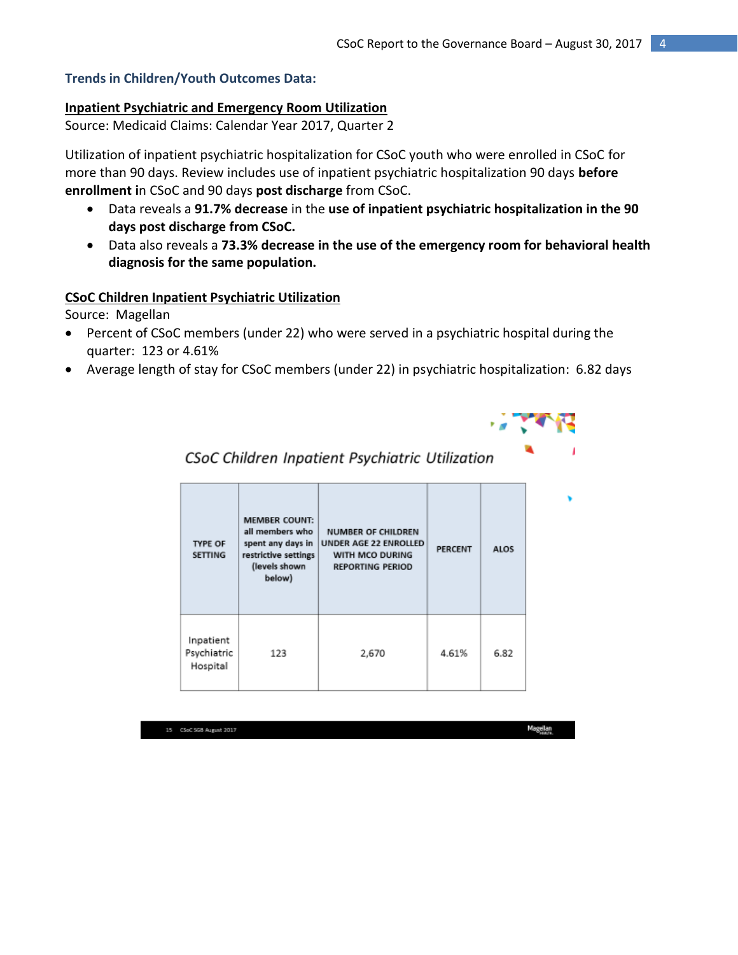## **Trends in Children/Youth Outcomes Data:**

### **Inpatient Psychiatric and Emergency Room Utilization**

Source: Medicaid Claims: Calendar Year 2017, Quarter 2

Utilization of inpatient psychiatric hospitalization for CSoC youth who were enrolled in CSoC for more than 90 days. Review includes use of inpatient psychiatric hospitalization 90 days **before enrollment i**n CSoC and 90 days **post discharge** from CSoC.

- Data reveals a **91.7% decrease** in the **use of inpatient psychiatric hospitalization in the 90 days post discharge from CSoC.**
- Data also reveals a **73.3% decrease in the use of the emergency room for behavioral health diagnosis for the same population.**

## **CSoC Children Inpatient Psychiatric Utilization**

Source: Magellan

- Percent of CSoC members (under 22) who were served in a psychiatric hospital during the quarter: 123 or 4.61%
- Average length of stay for CSoC members (under 22) in psychiatric hospitalization: 6.82 days



| <b>TYPE OF</b><br><b>SETTING</b>     | <b>MEMBER COUNT:</b><br>all members who<br>spent any days in<br>restrictive settings<br>(levels shown<br>below) | <b>NUMBER OF CHILDREN</b><br>UNDER AGE 22 ENROLLED<br>WITH MCO DURING<br><b>REPORTING PERIOD</b> | <b>PERCENT</b> | <b>ALOS</b> |
|--------------------------------------|-----------------------------------------------------------------------------------------------------------------|--------------------------------------------------------------------------------------------------|----------------|-------------|
| Inpatient<br>Psychiatric<br>Hospital | 123                                                                                                             | 2,670                                                                                            | 4.61%          | 6.82        |

CSoC Children Inpatient Psychiatric Utilization

15 CSoC 5GB August 2017

Magellan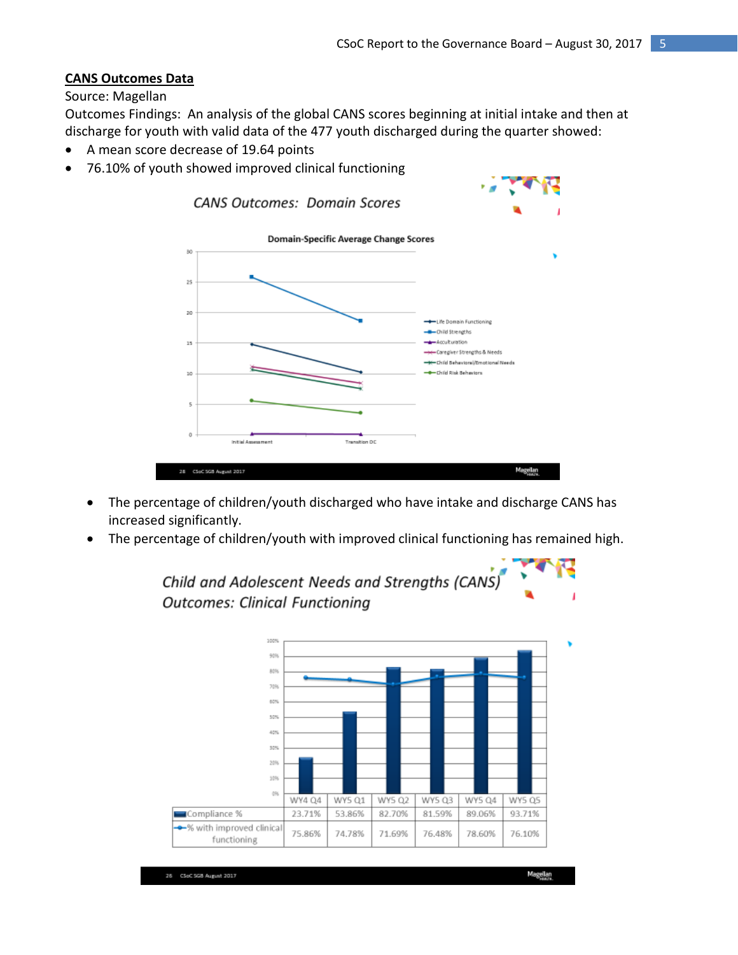## **CANS Outcomes Data**

#### Source: Magellan

Outcomes Findings: An analysis of the global CANS scores beginning at initial intake and then at discharge for youth with valid data of the 477 youth discharged during the quarter showed:

- A mean score decrease of 19.64 points
- 76.10% of youth showed improved clinical functioning



- The percentage of children/youth discharged who have intake and discharge CANS has increased significantly.
- The percentage of children/youth with improved clinical functioning has remained high.



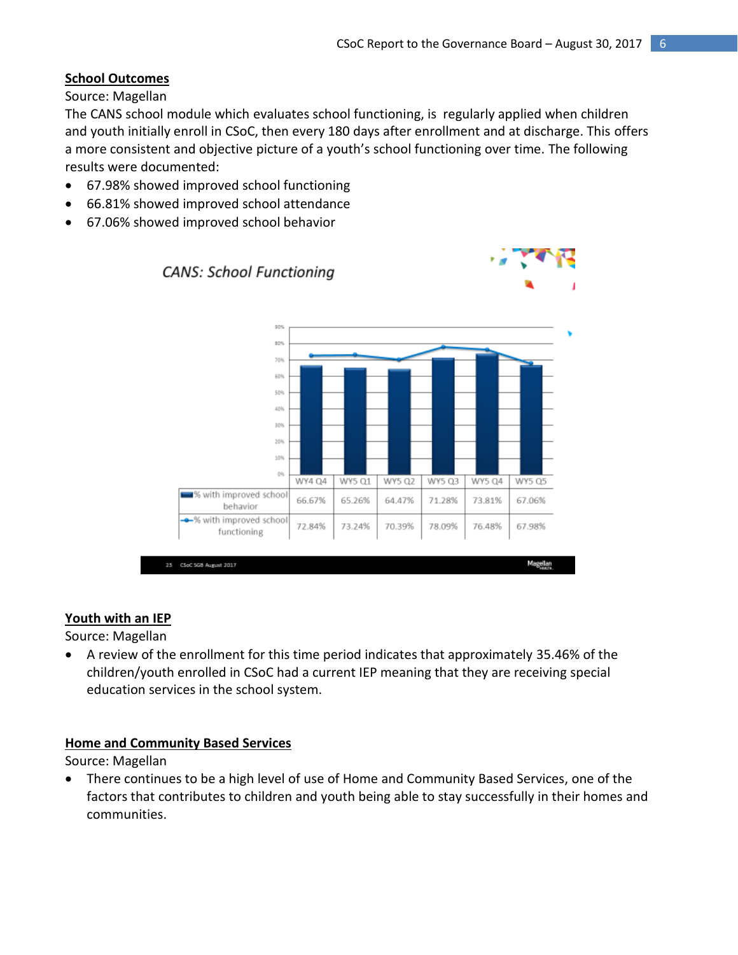## **School Outcomes**

Source: Magellan

The CANS school module which evaluates school functioning, is regularly applied when children and youth initially enroll in CSoC, then every 180 days after enrollment and at discharge. This offers a more consistent and objective picture of a youth's school functioning over time. The following results were documented:

- 67.98% showed improved school functioning
- 66.81% showed improved school attendance
- 67.06% showed improved school behavior



## **Youth with an IEP**

Source: Magellan

 A review of the enrollment for this time period indicates that approximately 35.46% of the children/youth enrolled in CSoC had a current IEP meaning that they are receiving special education services in the school system.

## **Home and Community Based Services**

Source: Magellan

 There continues to be a high level of use of Home and Community Based Services, one of the factors that contributes to children and youth being able to stay successfully in their homes and communities.